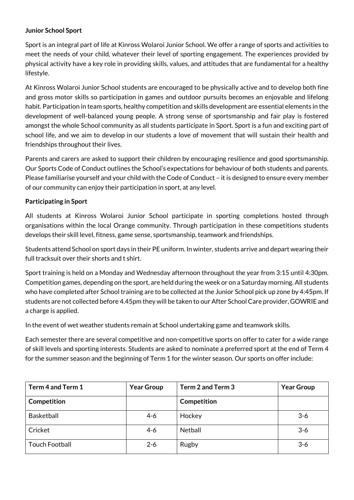# **Junior School Sport**

Sport is an integral part of life at Kinross Wolaroi Junior School. We offer a range of sports and activities to meet the needs of your child, whatever their level of sporting engagement. The experiences provided by physical activity have a key role in providing skills, values, and attitudes that are fundamental for a healthy lifestyle.

At Kinross Wolaroi Junior School students are encouraged to be physically active and to develop both fine and gross motor skills so participation in games and outdoor pursuits becomes an enjoyable and lifelong habit. Participation in team sports, healthy competition and skills development are essential elements in the development of well-balanced young people. A strong sense of sportsmanship and fair play is fostered amongst the whole School community as all students participate in Sport. Sport is a fun and exciting part of school life, and we aim to develop in our students a love of movement that will sustain their health and friendships throughout their lives.

Parents and carers are asked to support their children by encouraging resilience and good sportsmanship. Our Sports Code of Conduct outlines the School's expectations for behaviour of both students and parents. Please familiarise yourself and your child with the Code of Conduct – it is designed to ensure every member of our community can enjoy their participation in sport, at any level.

## **Participating in Sport**

All students at Kinross Wolaroi Junior School participate in sporting completions hosted through organisations within the local Orange community. Through participation in these competitions students develops their skill level, fitness, game sense, sportsmanship, teamwork and friendships.

Students attend School on sport days in their PE uniform. In winter, students arrive and depart wearing their full tracksuit over their shorts and t shirt.

Sport training is held on a Monday and Wednesday afternoon throughout the year from 3:15 until 4:30pm. Competition games, depending on the sport, are held during the week or on a Saturday morning.All students who have completed after School training are to be collected at the Junior School pick up zone by 4:45pm. If students are not collected before 4.45pm they will be taken to our After School Care provider, GOWRIE and a charge is applied.

In the event of wet weather students remain at School undertaking game and teamwork skills.

Each semester there are several competitive and non-competitive sports on offer to cater for a wide range of skill levels and sporting interests. Students are asked to nominate a preferred sport at the end of Term 4 for the summer season and the beginning of Term 1 for the winter season. Our sports on offer include:

| Term 4 and Term 1     | <b>Year Group</b> | Term 2 and Term 3 | <b>Year Group</b> |
|-----------------------|-------------------|-------------------|-------------------|
| Competition           |                   | Competition       |                   |
| <b>Basketball</b>     | $4-6$             | Hockey            | $3-6$             |
| Cricket               | $4-6$             | <b>Netball</b>    | $3-6$             |
| <b>Touch Football</b> | $2 - 6$           | Rugby             | $3-6$             |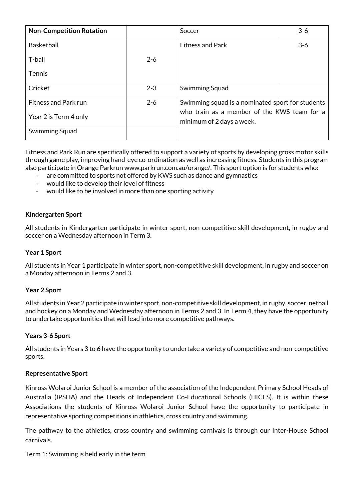| <b>Non-Competition Rotation</b> |         | Soccer                                                                   | $3-6$ |
|---------------------------------|---------|--------------------------------------------------------------------------|-------|
| <b>Basketball</b>               |         | <b>Fitness and Park</b>                                                  | $3-6$ |
| T-ball                          | $2 - 6$ |                                                                          |       |
| <b>Tennis</b>                   |         |                                                                          |       |
| Cricket                         | $2 - 3$ | Swimming Squad                                                           |       |
| <b>Fitness and Park run</b>     | $2 - 6$ | Swimming squad is a nominated sport for students                         |       |
| Year 2 is Term 4 only           |         | who train as a member of the KWS team for a<br>minimum of 2 days a week. |       |
| Swimming Squad                  |         |                                                                          |       |

Fitness and Park Run are specifically offered to support a variety of sports by developing gross motor skills through game play, improving hand-eye co-ordination as well as increasing fitness. Students in this program also participate in Orange Parkru[n www.parkrun.com.au/orange/.](http://www.parkrun.com.au/orange/) This sport option is for students who:

- are committed to sports not offered by KWS such as dance and gymnastics
- would like to develop their level of fitness
- would like to be involved in more than one sporting activity

### **Kindergarten Sport**

All students in Kindergarten participate in winter sport, non-competitive skill development, in rugby and soccer on a Wednesday afternoon in Term 3.

#### **Year 1 Sport**

All students in Year 1 participate in winter sport, non-competitive skill development, in rugby and soccer on a Monday afternoon in Terms 2 and 3.

#### **Year 2 Sport**

All students in Year 2 participate in winter sport, non-competitive skill development, in rugby, soccer, netball and hockey on a Monday and Wednesday afternoon in Terms 2 and 3. In Term 4, they have the opportunity to undertake opportunities that will lead into more competitive pathways.

#### **Years 3-6 Sport**

All students in Years 3 to 6 have the opportunity to undertake a variety of competitive and non-competitive sports.

#### **Representative Sport**

Kinross Wolaroi Junior School is a member of the association of the Independent Primary School Heads of Australia (IPSHA) and the Heads of Independent Co-Educational Schools (HICES). It is within these Associations the students of Kinross Wolaroi Junior School have the opportunity to participate in representative sporting competitions in athletics, cross country and swimming.

The pathway to the athletics, cross country and swimming carnivals is through our Inter-House School carnivals.

Term 1: Swimming is held early in the term